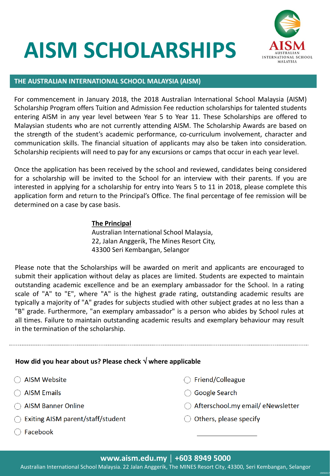# **AISM SCHOLARSHIPS**



#### **THE AUSTRALIAN INTERNATIONAL SCHOOL MALAYSIA (AISM)**

For commencement in January 2018, the 2018 Australian International School Malaysia (AISM) Scholarship Program offers Tuition and Admission Fee reduction scholarships for talented students entering AISM in any year level between Year 5 to Year 11. These Scholarships are offered to Malaysian students who are not currently attending AISM. The Scholarship Awards are based on the strength of the student's academic performance, co-curriculum involvement, character and communication skills. The financial situation of applicants may also be taken into consideration. Scholarship recipients will need to pay for any excursions or camps that occur in each year level.

Once the application has been received by the school and reviewed, candidates being considered for a scholarship will be invited to the School for an interview with their parents. If you are interested in applying for a scholarship for entry into Years 5 to 11 in 2018, please complete this application form and return to the Principal's Office. The final percentage of fee remission will be determined on a case by case basis.

#### **The Principal**

Australian International School Malaysia, 22, Jalan Anggerik, The Mines Resort City, 43300 Seri Kembangan, Selangor

Please note that the Scholarships will be awarded on merit and applicants are encouraged to submit their application without delay as places are limited. Students are expected to maintain outstanding academic excellence and be an exemplary ambassador for the School. In a rating scale of "A" to "E", where "A" is the highest grade rating, outstanding academic results are typically a majority of "A" grades for subjects studied with other subject grades at no less than a "B" grade. Furthermore, "an exemplary ambassador" is a person who abides by School rules at all times. Failure to maintain outstanding academic results and exemplary behaviour may result in the termination of the scholarship.

#### **How did you hear about us? Please check where applicable**

- $\bigcirc$  AISM Website
- $\bigcirc$  AISM Emails
- ◯ AISM Banner Online
- $\bigcirc$  Exiting AISM parent/staff/student
- ◯ Facebook
- ◯ Friend/Colleague
- ◯ Google Search
- $\bigcirc$  Afterschool.my email/ eNewsletter

19092017

 $\bigcirc$  Others, please specify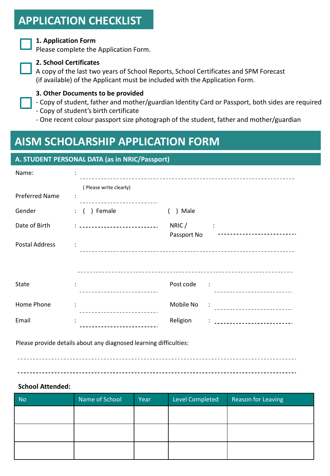### **APPLICATION CHECKLIST**

#### **1. Application Form**

Please complete the Application Form.



#### **2. School Certificates**

A copy of the last two years of School Reports, School Certificates and SPM Forecast (if available) of the Applicant must be included with the Application Form.

#### **3. Other Documents to be provided**

- Copy of student, father and mother/guardian Identity Card or Passport, both sides are required
- Copy of student's birth certificate

- One recent colour passport size photograph of the student, father and mother/guardian

### **AISM SCHOLARSHIP APPLICATION FORM**

#### **A. STUDENT PERSONAL DATA (as in NRIC/Passport)**

| Name:                 |                        |             |                      |
|-----------------------|------------------------|-------------|----------------------|
| <b>Preferred Name</b> | (Please write clearly) |             |                      |
| Gender                | ) Female<br>$\colon$ ( | ) Male      |                      |
| Date of Birth         |                        | NRIC/       | $\ddot{\phantom{a}}$ |
| <b>Postal Address</b> |                        | Passport No |                      |
| State                 | $\ddot{\phantom{a}}$   | Post code : |                      |
| Home Phone            |                        | Mobile No   | $\sim$ 1.            |
| Email                 |                        | Religion    |                      |

Please provide details about any diagnosed learning difficulties:

#### \_\_\_\_\_\_\_\_\_\_\_\_\_\_\_\_\_\_\_\_\_\_\_\_\_\_\_\_

#### **School Attended:**

| <b>No</b> | Name of School | Year | <b>Level Completed</b> | <b>Reason for Leaving</b> |
|-----------|----------------|------|------------------------|---------------------------|
|           |                |      |                        |                           |
|           |                |      |                        |                           |
|           |                |      |                        |                           |
|           |                |      |                        |                           |
|           |                |      |                        |                           |
|           |                |      |                        |                           |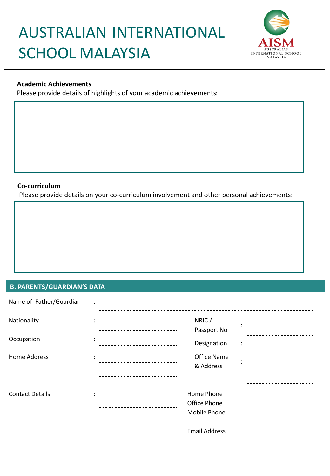## AUSTRALIAN INTERNATIONAL SCHOOL MALAYSIA



#### **Academic Achievements**

Please provide details of highlights of your academic achievements:

#### **Co-curriculum**

Please provide details on your co-curriculum involvement and other personal achievements:

#### **B. PARENTS/GUARDIAN'S DATA**

| Name of Father/Guardian | $\ddot{\cdot}$ |                      |   |
|-------------------------|----------------|----------------------|---|
| Nationality             | $\ddot{\cdot}$ | NRIC/                |   |
|                         |                | Passport No          |   |
| Occupation              | $\ddot{\cdot}$ | Designation          | ÷ |
| <b>Home Address</b>     |                | Office Name          |   |
|                         |                | & Address            |   |
|                         |                |                      |   |
| <b>Contact Details</b>  |                | Home Phone           |   |
|                         |                | Office Phone         |   |
|                         |                | <b>Mobile Phone</b>  |   |
|                         |                | <b>Email Address</b> |   |